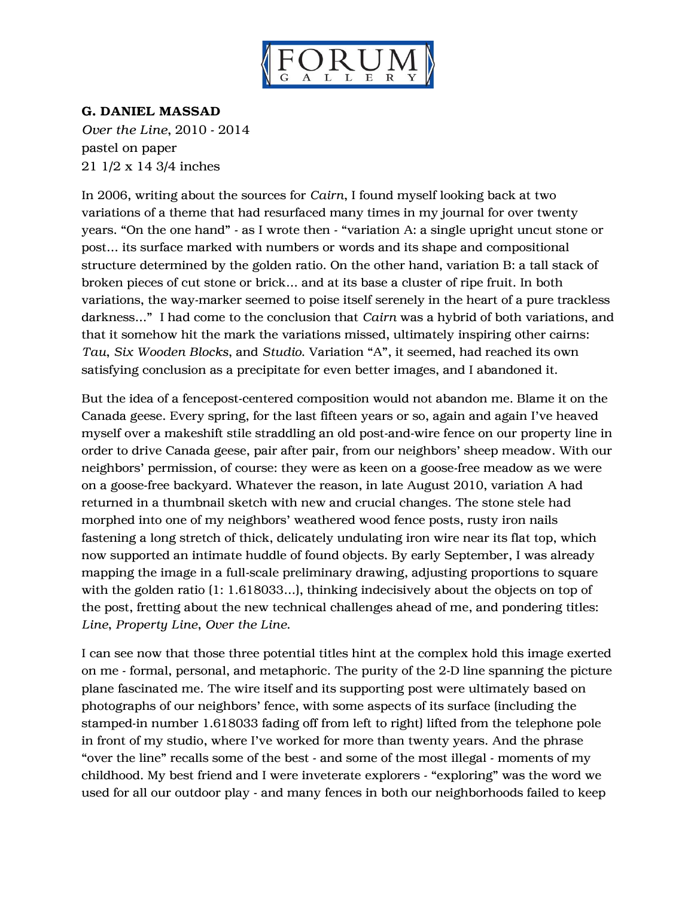

## G. DANIEL MASSAD

*Over the Line*, 2010 - 2014 pastel on paper 21 1/2 x 14 3/4 inches

In 2006, writing about the sources for *Cairn*, I found myself looking back at two variations of a theme that had resurfaced many times in my journal for over twenty years. "On the one hand" - as I wrote then - "variation A: a single upright uncut stone or post… its surface marked with numbers or words and its shape and compositional structure determined by the golden ratio. On the other hand, variation B: a tall stack of broken pieces of cut stone or brick… and at its base a cluster of ripe fruit. In both variations, the way-marker seemed to poise itself serenely in the heart of a pure trackless darkness…" I had come to the conclusion that *Cairn* was a hybrid of both variations, and that it somehow hit the mark the variations missed, ultimately inspiring other cairns: *Tau*, *Six Wooden Blocks*, and *Studio*. Variation "A", it seemed, had reached its own satisfying conclusion as a precipitate for even better images, and I abandoned it.

But the idea of a fencepost-centered composition would not abandon me. Blame it on the Canada geese. Every spring, for the last fifteen years or so, again and again I've heaved myself over a makeshift stile straddling an old post-and-wire fence on our property line in order to drive Canada geese, pair after pair, from our neighbors' sheep meadow. With our neighbors' permission, of course: they were as keen on a goose-free meadow as we were on a goose-free backyard. Whatever the reason, in late August 2010, variation A had returned in a thumbnail sketch with new and crucial changes. The stone stele had morphed into one of my neighbors' weathered wood fence posts, rusty iron nails fastening a long stretch of thick, delicately undulating iron wire near its flat top, which now supported an intimate huddle of found objects. By early September, I was already mapping the image in a full-scale preliminary drawing, adjusting proportions to square with the golden ratio (1: 1.618033…), thinking indecisively about the objects on top of the post, fretting about the new technical challenges ahead of me, and pondering titles: *Line*, *Property Line*, *Over the Line*.

I can see now that those three potential titles hint at the complex hold this image exerted on me - formal, personal, and metaphoric. The purity of the 2-D line spanning the picture plane fascinated me. The wire itself and its supporting post were ultimately based on photographs of our neighbors' fence, with some aspects of its surface (including the stamped-in number 1.618033 fading off from left to right) lifted from the telephone pole in front of my studio, where I've worked for more than twenty years. And the phrase "over the line" recalls some of the best - and some of the most illegal - moments of my childhood. My best friend and I were inveterate explorers - "exploring" was the word we used for all our outdoor play - and many fences in both our neighborhoods failed to keep